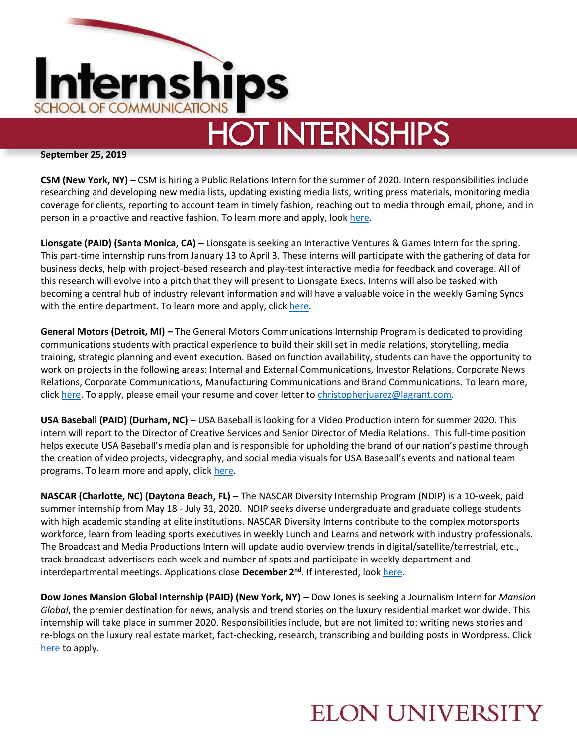

## **HOT INTERNSHIPS**

**September 25, 2019**

**CSM (New York, NY) –** CSM is hiring a Public Relations Intern for the summer of 2020. Intern responsibilities include researching and developing new media lists, updating existing media lists, writing press materials, monitoring media coverage for clients, reporting to account team in timely fashion, reaching out to media through email, phone, and in person in a proactive and reactive fashion. To learn more and apply, look [here.](https://www.teamworkonline.com/other-sports-jobs/leaddogmarketing/leaddog-marketing-group-/2020-spring-public-relations-internship-1963774?utm_campaign=google_jobs_apply&utm_source=google_jobs_apply&utm_medium=organic)

**Lionsgate (PAID) (Santa Monica, CA) –** Lionsgate is seeking an Interactive Ventures & Games Intern for the spring. This part-time internship runs from January 13 to April 3. These interns will participate with the gathering of data for business decks, help with project-based research and play-test interactive media for feedback and coverage. All of this research will evolve into a pitch that they will present to Lionsgate Execs. Interns will also be tasked with becoming a central hub of industry relevant information and will have a valuable voice in the weekly Gaming Syncs with the entire department. To learn more and apply, click [here.](https://career4.successfactors.com/career?career%5fns=job%5flisting&company=lionsgate&navBarLevel=JOB%5fSEARCH&rcm%5fsite%5flocale=en%5fUS&career_job_req_id=15781&selected_lang=en_US&jobAlertController_jobAlertId=&jobAlertController_jobAlertName=&)

**General Motors (Detroit, MI) –** The General Motors Communications Internship Program is dedicated to providing communications students with practical experience to build their skill set in media relations, storytelling, media training, strategic planning and event execution. Based on function availability, students can have the opportunity to work on projects in the following areas: Internal and External Communications, Investor Relations, Corporate News Relations, Corporate Communications, Manufacturing Communications and Brand Communications. To learn more, click [here.](http://jnmjobs.com/job/communications-intern-summer-2020-detroit-mi/?utm_campaign=google_jobs_apply&utm_source=google_jobs_apply&utm_medium=organic) To apply, please email your resume and cover letter to [christopherjuarez@lagrant.com.](mailto:christopherjuarez@lagrant.com) 

**USA Baseball (PAID) (Durham, NC) –** USA Baseball is looking for a Video Production intern for summer 2020. This intern will report to the Director of Creative Services and Senior Director of Media Relations. This full-time position helps execute USA Baseball's media plan and is responsible for upholding the brand of our nation's pastime through the creation of video projects, videography, and social media visuals for USA Baseball's events and national team programs. To learn more and apply, click [here.](https://www.teamworkonline.com/baseball-jobs/baseballjobs/usa-baseball/video-production-intern-1962815?utm_campaign=google_jobs_apply&utm_source=google_jobs_apply&utm_medium=organic)

**NASCAR (Charlotte, NC) (Daytona Beach, FL) –** The NASCAR Diversity Internship Program (NDIP) is a 10-week, paid summer internship from May 18 - July 31, 2020. NDIP seeks diverse undergraduate and graduate college students with high academic standing at elite institutions. NASCAR Diversity Interns contribute to the complex motorsports workforce, learn from leading sports executives in weekly Lunch and Learns and network with industry professionals. The Broadcast and Media Productions Intern will update audio overview trends in digital/satellite/terrestrial, etc., track broadcast advertisers each week and number of spots and participate in weekly department and interdepartmental meetings. Applications close **December 2nd**. If interested, loo[k here.](https://external-nascar.icims.com/jobs/3659/nascar-diversity-internship-program---broadcasting-and-media-productions/job?mobile=false&width=1020&height=500&bga=true&needsRedirect=false&jan1offset=-300&jun1offset=-240)

**Dow Jones Mansion Global Internship (PAID) (New York, NY) –** Dow Jones is seeking a Journalism Intern for *Mansion Global*, the premier destination for news, analysis and trend stories on the luxury residential market worldwide. This internship will take place in summer 2020. Responsibilities include, but are not limited to: writing news stories and re-blogs on the luxury real estate market, fact-checking, research, transcribing and building posts in Wordpress. Click [here](https://dowjones.jobs/new-york-ny/summer-2020-mansion-global-journalism-internship/a003333f87a048afa52116000e14bc96/job/) to apply.

## **ELON UNIVERSITY**